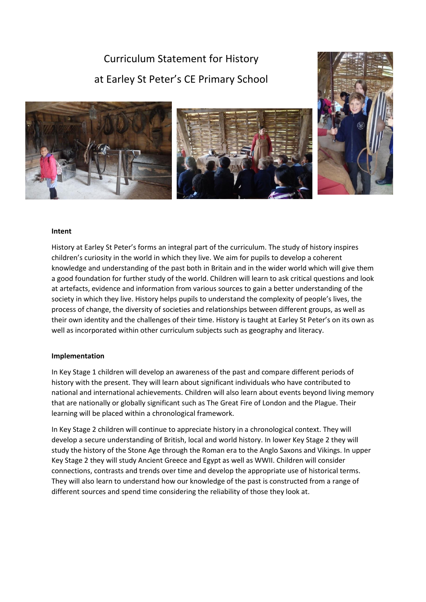Curriculum Statement for History at Earley St Peter's CE Primary School





## **Intent**

History at Earley St Peter's forms an integral part of the curriculum. The study of history inspires children's curiosity in the world in which they live. We aim for pupils to develop a coherent knowledge and understanding of the past both in Britain and in the wider world which will give them a good foundation for further study of the world. Children will learn to ask critical questions and look at artefacts, evidence and information from various sources to gain a better understanding of the society in which they live. History helps pupils to understand the complexity of people's lives, the process of change, the diversity of societies and relationships between different groups, as well as their own identity and the challenges of their time. History is taught at Earley St Peter's on its own as well as incorporated within other curriculum subjects such as geography and literacy.

## **Implementation**

In Key Stage 1 children will develop an awareness of the past and compare different periods of history with the present. They will learn about significant individuals who have contributed to national and international achievements. Children will also learn about events beyond living memory that are nationally or globally significant such as The Great Fire of London and the Plague. Their learning will be placed within a chronological framework.

In Key Stage 2 children will continue to appreciate history in a chronological context. They will develop a secure understanding of British, local and world history. In lower Key Stage 2 they will study the history of the Stone Age through the Roman era to the Anglo Saxons and Vikings. In upper Key Stage 2 they will study Ancient Greece and Egypt as well as WWII. Children will consider connections, contrasts and trends over time and develop the appropriate use of historical terms. They will also learn to understand how our knowledge of the past is constructed from a range of different sources and spend time considering the reliability of those they look at.